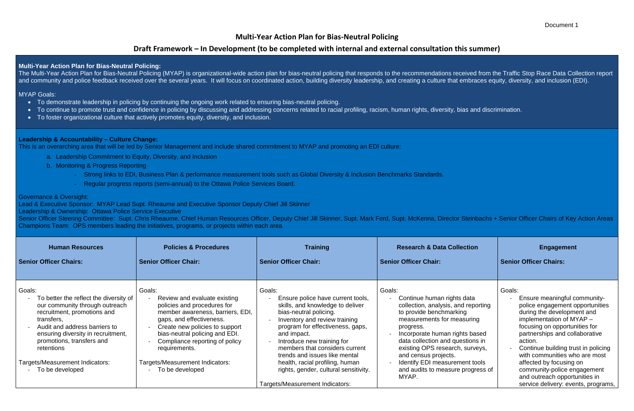## **Multi-Year Action Plan for Bias-Neutral Policing**

# **Draft Framework – In Development (to be completed with internal and external consultation this summer)**

The Multi-Year Action Plan for Bias-Neutral Policing (MYAP) is organizational-wide action plan for bias-neutral policing that responds to the recommendations received from the Traffic Stop Race Data Collection report and community and police feedback received over the several years. It will focus on coordinated action, building diversity leadership, and creating a culture that embraces equity, diversity, and inclusion (EDI).

### **MYAP Goals:**

#### **Multi-Year Action Plan for Bias-Neutral Policing:**

- To demonstrate leadership in policing by continuing the ongoing work related to ensuring bias-neutral policing.
- To continue to promote trust and confidence in policing by discussing and addressing concerns related to racial profiling, racism, human rights, diversity, bias and discrimination.
- To foster organizational culture that actively promotes equity, diversity, and inclusion.

Senior Officer Steering Committee: Supt. Chris Rheaume, Chief Human Resources Officer, Deputy Chief Jill Skinner, Supt. Mark Ford, Supt. McKenna, Director Steinbachs + Senior Officer Chairs of Key Action Areas Champions Team: OPS members leading the initiatives, programs, or projects within each area

### **Leadership & Accountability – Culture Change:**

This is an overarching area that will be led by Senior Management and include shared commitment to MYAP and promoting an EDI culture:

- a. Leadership Commitment to Equity, Diversity, and Inclusion
- b. Monitoring & Progress Reporting
	- Strong links to EDI, Business Plan & performance measurement tools such as Global Diversity & Inclusion Benchmarks Standards.
	- Regular progress reports (semi-annual) to the Ottawa Police Services Board.

### Governance & Oversight:

Lead & Executive Sponsor: MYAP Lead Supt. Rheaume and Executive Sponsor Deputy Chief Jill Skinner

Leadership & Ownership: Ottawa Police Service Executive

| <b>Human Resources</b><br><b>Senior Officer Chairs:</b>                                                                                                                                                                                           | <b>Policies &amp; Procedures</b><br><b>Senior Officer Chair:</b>                                                                                                                                                                                             | <b>Training</b><br><b>Senior Officer Chair:</b>                                                                                                                                                                                                                                                | <b>Research &amp; Data Collection</b><br><b>Senior Officer Chair:</b>                                                                                                                                                                                                              | <b>Engagement</b><br><b>Senior Officer Chairs:</b>                                                                                                                                                                                                                                          |
|---------------------------------------------------------------------------------------------------------------------------------------------------------------------------------------------------------------------------------------------------|--------------------------------------------------------------------------------------------------------------------------------------------------------------------------------------------------------------------------------------------------------------|------------------------------------------------------------------------------------------------------------------------------------------------------------------------------------------------------------------------------------------------------------------------------------------------|------------------------------------------------------------------------------------------------------------------------------------------------------------------------------------------------------------------------------------------------------------------------------------|---------------------------------------------------------------------------------------------------------------------------------------------------------------------------------------------------------------------------------------------------------------------------------------------|
| Goals:<br>To better the reflect the diversity of<br>our community through outreach<br>recruitment, promotions and<br>transfers,<br>Audit and address barriers to<br>ensuring diversity in recruitment,<br>promotions, transfers and<br>retentions | Goals:<br>Review and evaluate existing<br>policies and procedures for<br>member awareness, barriers, EDI,<br>gaps, and effectiveness.<br>Create new policies to support<br>bias-neutral policing and EDI.<br>Compliance reporting of policy<br>requirements. | Goals:<br>Ensure police have current tools,<br>skills, and knowledge to deliver<br>bias-neutral policing.<br>Inventory and review training<br>program for effectiveness, gaps,<br>and impact.<br>Introduce new training for<br>members that considers current<br>trends and issues like mental | Goals:<br>Continue human rights data<br>collection, analysis, and reporting<br>to provide benchmarking<br>measurements for measuring<br>progress.<br>Incorporate human rights based<br>data collection and questions in<br>existing OPS research, surveys,<br>and census projects. | Goals:<br>Ensure meaningful community-<br>police engagement opportunities<br>during the development and<br>implementation of $MYAP -$<br>focusing on opportunities for<br>partnerships and collaborative<br>action.<br>Continue building trust in policing<br>with communities who are most |
| Targets/Measurement Indicators:<br>To be developed                                                                                                                                                                                                | Targets/Measurement Indicators:<br>To be developed                                                                                                                                                                                                           | health, racial profiling, human<br>rights, gender, cultural sensitivity.<br>Targets/Measurement Indicators:                                                                                                                                                                                    | Identify EDI measurement tools<br>and audits to measure progress of<br>MYAP.                                                                                                                                                                                                       | affected by focusing on<br>community-police engagement<br>and outreach opportunities in<br>service delivery: events, programs,                                                                                                                                                              |

#### Document 1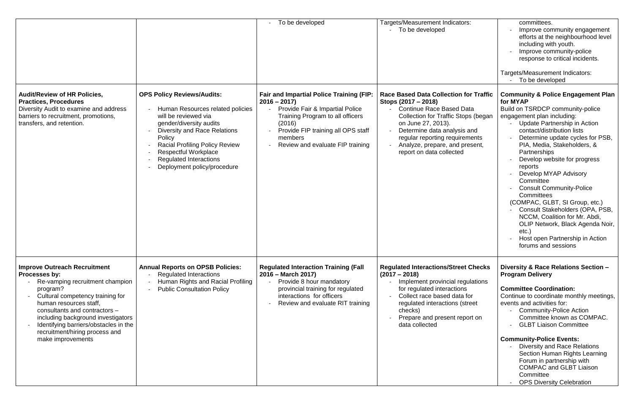|                                                                                                                                                                                                                                                                                                                                          |                                                                                                                                                                                                                                                                                                                   | - To be developed                                                                                                                                                                                                                      | Targets/Measurement Indicators:<br>To be developed                                                                                                                                                                                                                                                  |
|------------------------------------------------------------------------------------------------------------------------------------------------------------------------------------------------------------------------------------------------------------------------------------------------------------------------------------------|-------------------------------------------------------------------------------------------------------------------------------------------------------------------------------------------------------------------------------------------------------------------------------------------------------------------|----------------------------------------------------------------------------------------------------------------------------------------------------------------------------------------------------------------------------------------|-----------------------------------------------------------------------------------------------------------------------------------------------------------------------------------------------------------------------------------------------------------------------------------------------------|
| <b>Audit/Review of HR Policies,</b><br><b>Practices, Procedures</b><br>Diversity Audit to examine and address<br>barriers to recruitment, promotions,<br>transfers, and retention.                                                                                                                                                       | <b>OPS Policy Reviews/Audits:</b><br>Human Resources related policies<br>will be reviewed via<br>gender/diversity audits<br><b>Diversity and Race Relations</b><br>Policy<br><b>Racial Profiling Policy Review</b><br><b>Respectful Workplace</b><br><b>Regulated Interactions</b><br>Deployment policy/procedure | <b>Fair and Impartial Police Training (FIP:</b><br>$2016 - 2017$<br>Provide Fair & Impartial Police<br>Training Program to all officers<br>(2016)<br>Provide FIP training all OPS staff<br>members<br>Review and evaluate FIP training | <b>Race Based Data Collection for Traffic</b><br>Stops (2017 – 2018)<br><b>Continue Race Based Data</b><br>Collection for Traffic Stops (began<br>on June 27, 2013).<br>Determine data analysis and<br>regular reporting requirements<br>Analyze, prepare, and present,<br>report on data collected |
| <b>Improve Outreach Recruitment</b><br>Processes by:<br>Re-vamping recruitment champion<br>program?<br>Cultural competency training for<br>human resources staff,<br>consultants and contractors -<br>including background investigators<br>Identifying barriers/obstacles in the<br>recruitment/hiring process and<br>make improvements | <b>Annual Reports on OPSB Policies:</b><br><b>Regulated Interactions</b><br>Human Rights and Racial Profiling<br><b>Public Consultation Policy</b>                                                                                                                                                                | <b>Regulated Interaction Training (Fall</b><br>2016 – March 2017)<br>Provide 8 hour mandatory<br>provincial training for regulated<br>interactions for officers<br>Review and evaluate RIT training                                    | <b>Regulated Interactions/Street Checks</b><br>$(2017 - 2018)$<br>Implement provincial regulations<br>for regulated interactions<br>Collect race based data for<br>$\overline{a}$<br>regulated interactions (street<br>checks)<br>Prepare and present report on<br>data collected                   |

| s:            | committees.                                   |  |  |
|---------------|-----------------------------------------------|--|--|
|               | Improve community engagement                  |  |  |
|               | efforts at the neighbourhood level            |  |  |
|               |                                               |  |  |
|               | including with youth.                         |  |  |
|               | Improve community-police                      |  |  |
|               | response to critical incidents.               |  |  |
|               |                                               |  |  |
|               | Targets/Measurement Indicators:               |  |  |
|               | To be developed                               |  |  |
|               |                                               |  |  |
| or Traffic    | <b>Community &amp; Police Engagement Plan</b> |  |  |
|               | for MYAP                                      |  |  |
| ata           | Build on TSRDCP community-police              |  |  |
|               |                                               |  |  |
| os (began     | engagement plan including:                    |  |  |
|               | <b>Update Partnership in Action</b>           |  |  |
| and           | contact/distribution lists                    |  |  |
| ments         | Determine update cycles for PSB,              |  |  |
| esent,        | PIA, Media, Stakeholders, &                   |  |  |
|               | Partnerships                                  |  |  |
|               | Develop website for progress                  |  |  |
|               | reports                                       |  |  |
|               |                                               |  |  |
|               | Develop MYAP Advisory                         |  |  |
|               | Committee                                     |  |  |
|               | <b>Consult Community-Police</b>               |  |  |
|               | Committees                                    |  |  |
|               | (COMPAC, GLBT, SI Group, etc.)                |  |  |
|               | Consult Stakeholders (OPA, PSB,               |  |  |
|               | NCCM, Coalition for Mr. Abdi,                 |  |  |
|               | OLIP Network, Black Agenda Noir,              |  |  |
|               |                                               |  |  |
|               | $etc.$ )                                      |  |  |
|               | Host open Partnership in Action               |  |  |
|               | forums and sessions                           |  |  |
|               |                                               |  |  |
|               |                                               |  |  |
| <b>Checks</b> | Diversity & Race Relations Section -          |  |  |
|               | <b>Program Delivery</b>                       |  |  |
| ulations      |                                               |  |  |
|               | <b>Committee Coordination:</b>                |  |  |
| for           | Continue to coordinate monthly meetings,      |  |  |
| :reet         | events and activities for:                    |  |  |
|               | <b>Community-Police Action</b>                |  |  |
|               | Committee known as COMPAC.                    |  |  |
| ort on        |                                               |  |  |
|               | <b>GLBT Liaison Committee</b>                 |  |  |
|               |                                               |  |  |
|               | <b>Community-Police Events:</b>               |  |  |
|               | <b>Diversity and Race Relations</b>           |  |  |
|               | Section Human Rights Learning                 |  |  |
|               | Forum in partnership with                     |  |  |
|               | <b>COMPAC and GLBT Liaison</b>                |  |  |
|               | Committee                                     |  |  |
|               | <b>OPS Diversity Celebration</b>              |  |  |
|               |                                               |  |  |